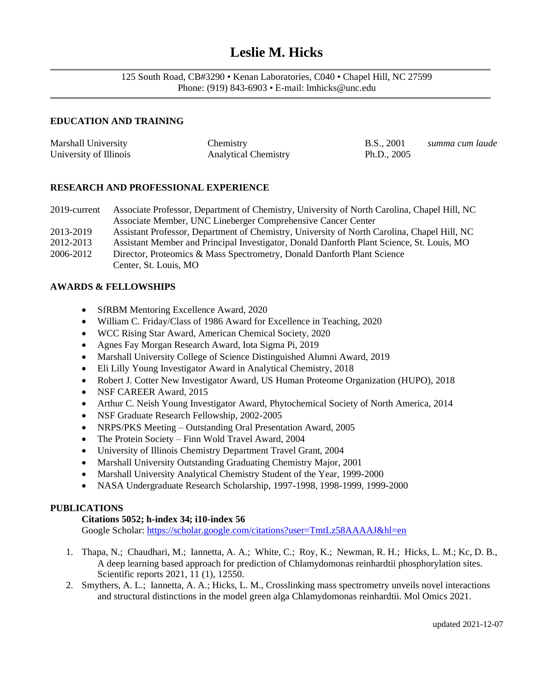# **Leslie M. Hicks**

125 South Road, CB#3290 • Kenan Laboratories, C040 • Chapel Hill, NC 27599 Phone: (919) 843-6903 • E-mail: lmhicks@unc.edu 

# **EDUCATION AND TRAINING**

| Marshall University    | Chemistry                   | B.S., 2001    | summa cum laude |
|------------------------|-----------------------------|---------------|-----------------|
| University of Illinois | <b>Analytical Chemistry</b> | Ph.D., $2005$ |                 |

# **RESEARCH AND PROFESSIONAL EXPERIENCE**

2019-current Associate Professor, Department of Chemistry, University of North Carolina, Chapel Hill, NC Associate Member, UNC Lineberger Comprehensive Cancer Center 2013-2019 Assistant Professor, Department of Chemistry, University of North Carolina, Chapel Hill, NC 2012-2013 Assistant Member and Principal Investigator, Donald Danforth Plant Science, St. Louis, MO 2006-2012 Director, Proteomics & Mass Spectrometry, Donald Danforth Plant Science

Center, St. Louis, MO

#### **AWARDS & FELLOWSHIPS**

- SfRBM Mentoring Excellence Award, 2020
- William C. Friday/Class of 1986 Award for Excellence in Teaching, 2020
- WCC Rising Star Award, American Chemical Society, 2020
- Agnes Fay Morgan Research Award, Iota Sigma Pi, 2019
- Marshall University College of Science Distinguished Alumni Award, 2019
- Eli Lilly Young Investigator Award in Analytical Chemistry, 2018
- Robert J. Cotter New Investigator Award, US Human Proteome Organization (HUPO), 2018
- NSF CAREER Award, 2015
- Arthur C. Neish Young Investigator Award, Phytochemical Society of North America, 2014
- NSF Graduate Research Fellowship, 2002-2005
- NRPS/PKS Meeting Outstanding Oral Presentation Award, 2005
- The Protein Society Finn Wold Travel Award, 2004
- University of Illinois Chemistry Department Travel Grant, 2004
- Marshall University Outstanding Graduating Chemistry Major, 2001
- Marshall University Analytical Chemistry Student of the Year, 1999-2000
- NASA Undergraduate Research Scholarship, 1997-1998, 1998-1999, 1999-2000

#### **PUBLICATIONS**

### **Citations 5052; h-index 34; i10-index 56**

Google Scholar:<https://scholar.google.com/citations?user=TmtLz58AAAAJ&hl=en>

- 1. Thapa, N.; Chaudhari, M.; Iannetta, A. A.; White, C.; Roy, K.; Newman, R. H.; Hicks, L. M.; Kc, D. B., A deep learning based approach for prediction of Chlamydomonas reinhardtii phosphorylation sites. Scientific reports 2021, 11 (1), 12550.
- 2. Smythers, A. L.; Iannetta, A. A.; Hicks, L. M., Crosslinking mass spectrometry unveils novel interactions and structural distinctions in the model green alga Chlamydomonas reinhardtii. Mol Omics 2021.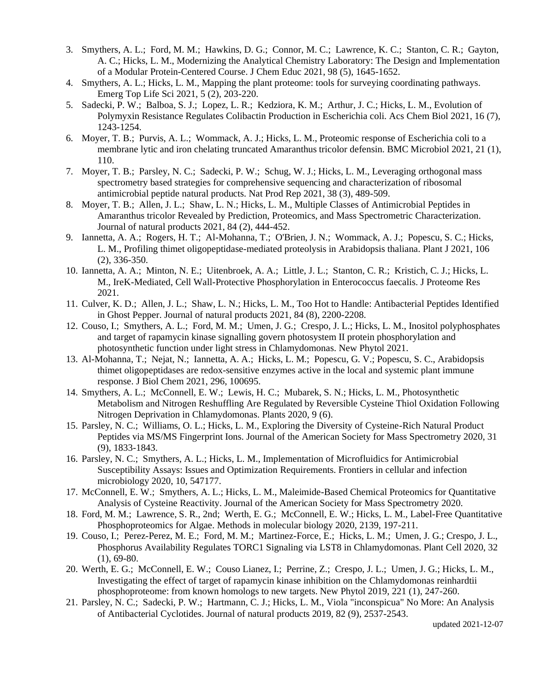- 3. Smythers, A. L.; Ford, M. M.; Hawkins, D. G.; Connor, M. C.; Lawrence, K. C.; Stanton, C. R.; Gayton, A. C.; Hicks, L. M., Modernizing the Analytical Chemistry Laboratory: The Design and Implementation of a Modular Protein-Centered Course. J Chem Educ 2021, 98 (5), 1645-1652.
- 4. Smythers, A. L.; Hicks, L. M., Mapping the plant proteome: tools for surveying coordinating pathways. Emerg Top Life Sci 2021, 5 (2), 203-220.
- 5. Sadecki, P. W.; Balboa, S. J.; Lopez, L. R.; Kedziora, K. M.; Arthur, J. C.; Hicks, L. M., Evolution of Polymyxin Resistance Regulates Colibactin Production in Escherichia coli. Acs Chem Biol 2021, 16 (7), 1243-1254.
- 6. Moyer, T. B.; Purvis, A. L.; Wommack, A. J.; Hicks, L. M., Proteomic response of Escherichia coli to a membrane lytic and iron chelating truncated Amaranthus tricolor defensin. BMC Microbiol 2021, 21 (1), 110.
- 7. Moyer, T. B.; Parsley, N. C.; Sadecki, P. W.; Schug, W. J.; Hicks, L. M., Leveraging orthogonal mass spectrometry based strategies for comprehensive sequencing and characterization of ribosomal antimicrobial peptide natural products. Nat Prod Rep 2021, 38 (3), 489-509.
- 8. Moyer, T. B.; Allen, J. L.; Shaw, L. N.; Hicks, L. M., Multiple Classes of Antimicrobial Peptides in Amaranthus tricolor Revealed by Prediction, Proteomics, and Mass Spectrometric Characterization. Journal of natural products 2021, 84 (2), 444-452.
- 9. Iannetta, A. A.; Rogers, H. T.; Al-Mohanna, T.; O'Brien, J. N.; Wommack, A. J.; Popescu, S. C.; Hicks, L. M., Profiling thimet oligopeptidase-mediated proteolysis in Arabidopsis thaliana. Plant J 2021, 106 (2), 336-350.
- 10. Iannetta, A. A.; Minton, N. E.; Uitenbroek, A. A.; Little, J. L.; Stanton, C. R.; Kristich, C. J.; Hicks, L. M., IreK-Mediated, Cell Wall-Protective Phosphorylation in Enterococcus faecalis. J Proteome Res 2021.
- 11. Culver, K. D.; Allen, J. L.; Shaw, L. N.; Hicks, L. M., Too Hot to Handle: Antibacterial Peptides Identified in Ghost Pepper. Journal of natural products 2021, 84 (8), 2200-2208.
- 12. Couso, I.; Smythers, A. L.; Ford, M. M.; Umen, J. G.; Crespo, J. L.; Hicks, L. M., Inositol polyphosphates and target of rapamycin kinase signalling govern photosystem II protein phosphorylation and photosynthetic function under light stress in Chlamydomonas. New Phytol 2021.
- 13. Al-Mohanna, T.; Nejat, N.; Iannetta, A. A.; Hicks, L. M.; Popescu, G. V.; Popescu, S. C., Arabidopsis thimet oligopeptidases are redox-sensitive enzymes active in the local and systemic plant immune response. J Biol Chem 2021, 296, 100695.
- 14. Smythers, A. L.; McConnell, E. W.; Lewis, H. C.; Mubarek, S. N.; Hicks, L. M., Photosynthetic Metabolism and Nitrogen Reshuffling Are Regulated by Reversible Cysteine Thiol Oxidation Following Nitrogen Deprivation in Chlamydomonas. Plants 2020, 9 (6).
- 15. Parsley, N. C.; Williams, O. L.; Hicks, L. M., Exploring the Diversity of Cysteine-Rich Natural Product Peptides via MS/MS Fingerprint Ions. Journal of the American Society for Mass Spectrometry 2020, 31 (9), 1833-1843.
- 16. Parsley, N. C.; Smythers, A. L.; Hicks, L. M., Implementation of Microfluidics for Antimicrobial Susceptibility Assays: Issues and Optimization Requirements. Frontiers in cellular and infection microbiology 2020, 10, 547177.
- 17. McConnell, E. W.; Smythers, A. L.; Hicks, L. M., Maleimide-Based Chemical Proteomics for Quantitative Analysis of Cysteine Reactivity. Journal of the American Society for Mass Spectrometry 2020.
- 18. Ford, M. M.; Lawrence, S. R., 2nd; Werth, E. G.; McConnell, E. W.; Hicks, L. M., Label-Free Quantitative Phosphoproteomics for Algae. Methods in molecular biology 2020, 2139, 197-211.
- 19. Couso, I.; Perez-Perez, M. E.; Ford, M. M.; Martinez-Force, E.; Hicks, L. M.; Umen, J. G.; Crespo, J. L., Phosphorus Availability Regulates TORC1 Signaling via LST8 in Chlamydomonas. Plant Cell 2020, 32 (1), 69-80.
- 20. Werth, E. G.; McConnell, E. W.; Couso Lianez, I.; Perrine, Z.; Crespo, J. L.; Umen, J. G.; Hicks, L. M., Investigating the effect of target of rapamycin kinase inhibition on the Chlamydomonas reinhardtii phosphoproteome: from known homologs to new targets. New Phytol 2019, 221 (1), 247-260.
- 21. Parsley, N. C.; Sadecki, P. W.; Hartmann, C. J.; Hicks, L. M., Viola "inconspicua" No More: An Analysis of Antibacterial Cyclotides. Journal of natural products 2019, 82 (9), 2537-2543.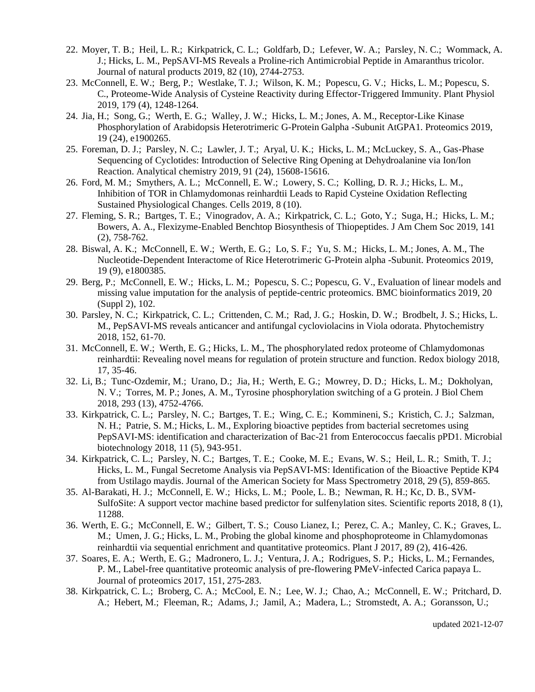- 22. Moyer, T. B.; Heil, L. R.; Kirkpatrick, C. L.; Goldfarb, D.; Lefever, W. A.; Parsley, N. C.; Wommack, A. J.; Hicks, L. M., PepSAVI-MS Reveals a Proline-rich Antimicrobial Peptide in Amaranthus tricolor. Journal of natural products 2019, 82 (10), 2744-2753.
- 23. McConnell, E. W.; Berg, P.; Westlake, T. J.; Wilson, K. M.; Popescu, G. V.; Hicks, L. M.; Popescu, S. C., Proteome-Wide Analysis of Cysteine Reactivity during Effector-Triggered Immunity. Plant Physiol 2019, 179 (4), 1248-1264.
- 24. Jia, H.; Song, G.; Werth, E. G.; Walley, J. W.; Hicks, L. M.; Jones, A. M., Receptor-Like Kinase Phosphorylation of Arabidopsis Heterotrimeric G-Protein Galpha -Subunit AtGPA1. Proteomics 2019, 19 (24), e1900265.
- 25. Foreman, D. J.; Parsley, N. C.; Lawler, J. T.; Aryal, U. K.; Hicks, L. M.; McLuckey, S. A., Gas-Phase Sequencing of Cyclotides: Introduction of Selective Ring Opening at Dehydroalanine via Ion/Ion Reaction. Analytical chemistry 2019, 91 (24), 15608-15616.
- 26. Ford, M. M.; Smythers, A. L.; McConnell, E. W.; Lowery, S. C.; Kolling, D. R. J.; Hicks, L. M., Inhibition of TOR in Chlamydomonas reinhardtii Leads to Rapid Cysteine Oxidation Reflecting Sustained Physiological Changes. Cells 2019, 8 (10).
- 27. Fleming, S. R.; Bartges, T. E.; Vinogradov, A. A.; Kirkpatrick, C. L.; Goto, Y.; Suga, H.; Hicks, L. M.; Bowers, A. A., Flexizyme-Enabled Benchtop Biosynthesis of Thiopeptides. J Am Chem Soc 2019, 141 (2), 758-762.
- 28. Biswal, A. K.; McConnell, E. W.; Werth, E. G.; Lo, S. F.; Yu, S. M.; Hicks, L. M.; Jones, A. M., The Nucleotide-Dependent Interactome of Rice Heterotrimeric G-Protein alpha -Subunit. Proteomics 2019, 19 (9), e1800385.
- 29. Berg, P.; McConnell, E. W.; Hicks, L. M.; Popescu, S. C.; Popescu, G. V., Evaluation of linear models and missing value imputation for the analysis of peptide-centric proteomics. BMC bioinformatics 2019, 20 (Suppl 2), 102.
- 30. Parsley, N. C.; Kirkpatrick, C. L.; Crittenden, C. M.; Rad, J. G.; Hoskin, D. W.; Brodbelt, J. S.; Hicks, L. M., PepSAVI-MS reveals anticancer and antifungal cycloviolacins in Viola odorata. Phytochemistry 2018, 152, 61-70.
- 31. McConnell, E. W.; Werth, E. G.; Hicks, L. M., The phosphorylated redox proteome of Chlamydomonas reinhardtii: Revealing novel means for regulation of protein structure and function. Redox biology 2018, 17, 35-46.
- 32. Li, B.; Tunc-Ozdemir, M.; Urano, D.; Jia, H.; Werth, E. G.; Mowrey, D. D.; Hicks, L. M.; Dokholyan, N. V.; Torres, M. P.; Jones, A. M., Tyrosine phosphorylation switching of a G protein. J Biol Chem 2018, 293 (13), 4752-4766.
- 33. Kirkpatrick, C. L.; Parsley, N. C.; Bartges, T. E.; Wing, C. E.; Kommineni, S.; Kristich, C. J.; Salzman, N. H.; Patrie, S. M.; Hicks, L. M., Exploring bioactive peptides from bacterial secretomes using PepSAVI-MS: identification and characterization of Bac-21 from Enterococcus faecalis pPD1. Microbial biotechnology 2018, 11 (5), 943-951.
- 34. Kirkpatrick, C. L.; Parsley, N. C.; Bartges, T. E.; Cooke, M. E.; Evans, W. S.; Heil, L. R.; Smith, T. J.; Hicks, L. M., Fungal Secretome Analysis via PepSAVI-MS: Identification of the Bioactive Peptide KP4 from Ustilago maydis. Journal of the American Society for Mass Spectrometry 2018, 29 (5), 859-865.
- 35. Al-Barakati, H. J.; McConnell, E. W.; Hicks, L. M.; Poole, L. B.; Newman, R. H.; Kc, D. B., SVM-SulfoSite: A support vector machine based predictor for sulfenylation sites. Scientific reports 2018, 8 (1), 11288.
- 36. Werth, E. G.; McConnell, E. W.; Gilbert, T. S.; Couso Lianez, I.; Perez, C. A.; Manley, C. K.; Graves, L. M.; Umen, J. G.; Hicks, L. M., Probing the global kinome and phosphoproteome in Chlamydomonas reinhardtii via sequential enrichment and quantitative proteomics. Plant J 2017, 89 (2), 416-426.
- 37. Soares, E. A.; Werth, E. G.; Madronero, L. J.; Ventura, J. A.; Rodrigues, S. P.; Hicks, L. M.; Fernandes, P. M., Label-free quantitative proteomic analysis of pre-flowering PMeV-infected Carica papaya L. Journal of proteomics 2017, 151, 275-283.
- 38. Kirkpatrick, C. L.; Broberg, C. A.; McCool, E. N.; Lee, W. J.; Chao, A.; McConnell, E. W.; Pritchard, D. A.; Hebert, M.; Fleeman, R.; Adams, J.; Jamil, A.; Madera, L.; Stromstedt, A. A.; Goransson, U.;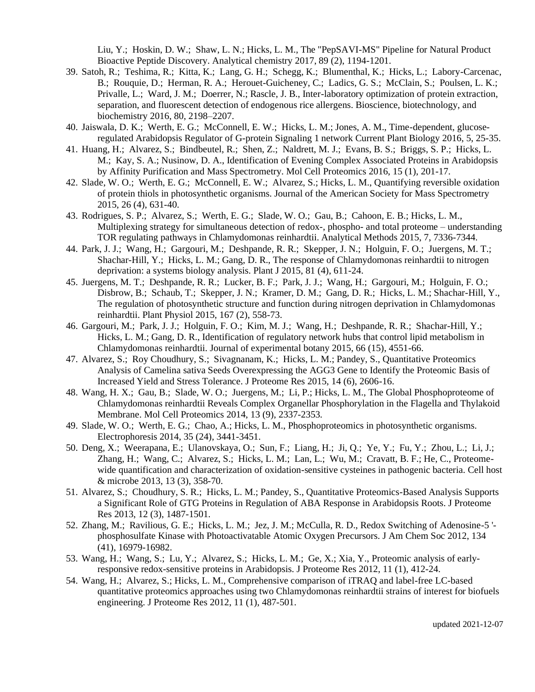Liu, Y.; Hoskin, D. W.; Shaw, L. N.; Hicks, L. M., The "PepSAVI-MS" Pipeline for Natural Product Bioactive Peptide Discovery. Analytical chemistry 2017, 89 (2), 1194-1201.

- 39. Satoh, R.; Teshima, R.; Kitta, K.; Lang, G. H.; Schegg, K.; Blumenthal, K.; Hicks, L.; Labory-Carcenac, B.; Rouquie, D.; Herman, R. A.; Herouet-Guicheney, C.; Ladics, G. S.; McClain, S.; Poulsen, L. K.; Privalle, L.; Ward, J. M.; Doerrer, N.; Rascle, J. B., Inter-laboratory optimization of protein extraction, separation, and fluorescent detection of endogenous rice allergens. Bioscience, biotechnology, and biochemistry 2016, 80, 2198–2207.
- 40. Jaiswala, D. K.; Werth, E. G.; McConnell, E. W.; Hicks, L. M.; Jones, A. M., Time-dependent, glucoseregulated Arabidopsis Regulator of G-protein Signaling 1 network Current Plant Biology 2016, 5, 25-35.
- 41. Huang, H.; Alvarez, S.; Bindbeutel, R.; Shen, Z.; Naldrett, M. J.; Evans, B. S.; Briggs, S. P.; Hicks, L. M.; Kay, S. A.; Nusinow, D. A., Identification of Evening Complex Associated Proteins in Arabidopsis by Affinity Purification and Mass Spectrometry. Mol Cell Proteomics 2016, 15 (1), 201-17.
- 42. Slade, W. O.; Werth, E. G.; McConnell, E. W.; Alvarez, S.; Hicks, L. M., Quantifying reversible oxidation of protein thiols in photosynthetic organisms. Journal of the American Society for Mass Spectrometry 2015, 26 (4), 631-40.
- 43. Rodrigues, S. P.; Alvarez, S.; Werth, E. G.; Slade, W. O.; Gau, B.; Cahoon, E. B.; Hicks, L. M., Multiplexing strategy for simultaneous detection of redox-, phospho- and total proteome – understanding TOR regulating pathways in Chlamydomonas reinhardtii. Analytical Methods 2015, 7, 7336-7344.
- 44. Park, J. J.; Wang, H.; Gargouri, M.; Deshpande, R. R.; Skepper, J. N.; Holguin, F. O.; Juergens, M. T.; Shachar-Hill, Y.; Hicks, L. M.; Gang, D. R., The response of Chlamydomonas reinhardtii to nitrogen deprivation: a systems biology analysis. Plant J 2015, 81 (4), 611-24.
- 45. Juergens, M. T.; Deshpande, R. R.; Lucker, B. F.; Park, J. J.; Wang, H.; Gargouri, M.; Holguin, F. O.; Disbrow, B.; Schaub, T.; Skepper, J. N.; Kramer, D. M.; Gang, D. R.; Hicks, L. M.; Shachar-Hill, Y., The regulation of photosynthetic structure and function during nitrogen deprivation in Chlamydomonas reinhardtii. Plant Physiol 2015, 167 (2), 558-73.
- 46. Gargouri, M.; Park, J. J.; Holguin, F. O.; Kim, M. J.; Wang, H.; Deshpande, R. R.; Shachar-Hill, Y.; Hicks, L. M.; Gang, D. R., Identification of regulatory network hubs that control lipid metabolism in Chlamydomonas reinhardtii. Journal of experimental botany 2015, 66 (15), 4551-66.
- 47. Alvarez, S.; Roy Choudhury, S.; Sivagnanam, K.; Hicks, L. M.; Pandey, S., Quantitative Proteomics Analysis of Camelina sativa Seeds Overexpressing the AGG3 Gene to Identify the Proteomic Basis of Increased Yield and Stress Tolerance. J Proteome Res 2015, 14 (6), 2606-16.
- 48. Wang, H. X.; Gau, B.; Slade, W. O.; Juergens, M.; Li, P.; Hicks, L. M., The Global Phosphoproteome of Chlamydomonas reinhardtii Reveals Complex Organellar Phosphorylation in the Flagella and Thylakoid Membrane. Mol Cell Proteomics 2014, 13 (9), 2337-2353.
- 49. Slade, W. O.; Werth, E. G.; Chao, A.; Hicks, L. M., Phosphoproteomics in photosynthetic organisms. Electrophoresis 2014, 35 (24), 3441-3451.
- 50. Deng, X.; Weerapana, E.; Ulanovskaya, O.; Sun, F.; Liang, H.; Ji, Q.; Ye, Y.; Fu, Y.; Zhou, L.; Li, J.; Zhang, H.; Wang, C.; Alvarez, S.; Hicks, L. M.; Lan, L.; Wu, M.; Cravatt, B. F.; He, C., Proteomewide quantification and characterization of oxidation-sensitive cysteines in pathogenic bacteria. Cell host & microbe 2013, 13 (3), 358-70.
- 51. Alvarez, S.; Choudhury, S. R.; Hicks, L. M.; Pandey, S., Quantitative Proteomics-Based Analysis Supports a Significant Role of GTG Proteins in Regulation of ABA Response in Arabidopsis Roots. J Proteome Res 2013, 12 (3), 1487-1501.
- 52. Zhang, M.; Ravilious, G. E.; Hicks, L. M.; Jez, J. M.; McCulla, R. D., Redox Switching of Adenosine-5 ' phosphosulfate Kinase with Photoactivatable Atomic Oxygen Precursors. J Am Chem Soc 2012, 134 (41), 16979-16982.
- 53. Wang, H.; Wang, S.; Lu, Y.; Alvarez, S.; Hicks, L. M.; Ge, X.; Xia, Y., Proteomic analysis of earlyresponsive redox-sensitive proteins in Arabidopsis. J Proteome Res 2012, 11 (1), 412-24.
- 54. Wang, H.; Alvarez, S.; Hicks, L. M., Comprehensive comparison of iTRAQ and label-free LC-based quantitative proteomics approaches using two Chlamydomonas reinhardtii strains of interest for biofuels engineering. J Proteome Res 2012, 11 (1), 487-501.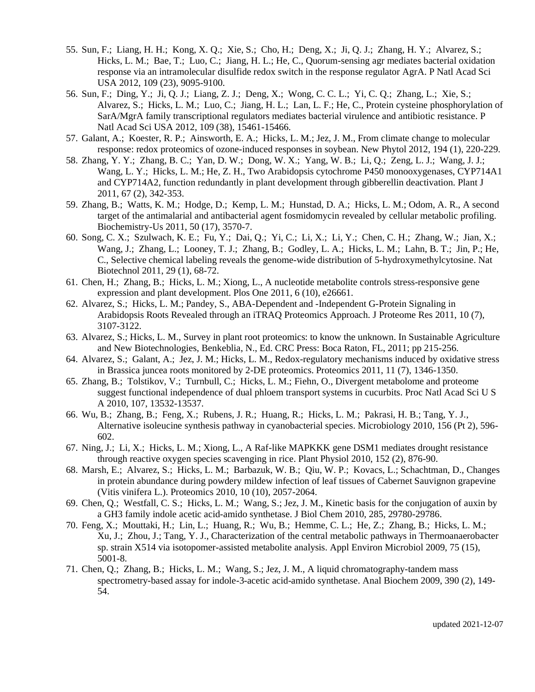- 55. Sun, F.; Liang, H. H.; Kong, X. Q.; Xie, S.; Cho, H.; Deng, X.; Ji, Q. J.; Zhang, H. Y.; Alvarez, S.; Hicks, L. M.; Bae, T.; Luo, C.; Jiang, H. L.; He, C., Quorum-sensing agr mediates bacterial oxidation response via an intramolecular disulfide redox switch in the response regulator AgrA. P Natl Acad Sci USA 2012, 109 (23), 9095-9100.
- 56. Sun, F.; Ding, Y.; Ji, Q. J.; Liang, Z. J.; Deng, X.; Wong, C. C. L.; Yi, C. Q.; Zhang, L.; Xie, S.; Alvarez, S.; Hicks, L. M.; Luo, C.; Jiang, H. L.; Lan, L. F.; He, C., Protein cysteine phosphorylation of SarA/MgrA family transcriptional regulators mediates bacterial virulence and antibiotic resistance. P Natl Acad Sci USA 2012, 109 (38), 15461-15466.
- 57. Galant, A.; Koester, R. P.; Ainsworth, E. A.; Hicks, L. M.; Jez, J. M., From climate change to molecular response: redox proteomics of ozone-induced responses in soybean. New Phytol 2012, 194 (1), 220-229.
- 58. Zhang, Y. Y.; Zhang, B. C.; Yan, D. W.; Dong, W. X.; Yang, W. B.; Li, Q.; Zeng, L. J.; Wang, J. J.; Wang, L. Y.; Hicks, L. M.; He, Z. H., Two Arabidopsis cytochrome P450 monooxygenases, CYP714A1 and CYP714A2, function redundantly in plant development through gibberellin deactivation. Plant J 2011, 67 (2), 342-353.
- 59. Zhang, B.; Watts, K. M.; Hodge, D.; Kemp, L. M.; Hunstad, D. A.; Hicks, L. M.; Odom, A. R., A second target of the antimalarial and antibacterial agent fosmidomycin revealed by cellular metabolic profiling. Biochemistry-Us 2011, 50 (17), 3570-7.
- 60. Song, C. X.; Szulwach, K. E.; Fu, Y.; Dai, Q.; Yi, C.; Li, X.; Li, Y.; Chen, C. H.; Zhang, W.; Jian, X.; Wang, J.; Zhang, L.; Looney, T. J.; Zhang, B.; Godley, L. A.; Hicks, L. M.; Lahn, B. T.; Jin, P.; He, C., Selective chemical labeling reveals the genome-wide distribution of 5-hydroxymethylcytosine. Nat Biotechnol 2011, 29 (1), 68-72.
- 61. Chen, H.; Zhang, B.; Hicks, L. M.; Xiong, L., A nucleotide metabolite controls stress-responsive gene expression and plant development. Plos One 2011, 6 (10), e26661.
- 62. Alvarez, S.; Hicks, L. M.; Pandey, S., ABA-Dependent and -Independent G-Protein Signaling in Arabidopsis Roots Revealed through an iTRAQ Proteomics Approach. J Proteome Res 2011, 10 (7), 3107-3122.
- 63. Alvarez, S.; Hicks, L. M., Survey in plant root proteomics: to know the unknown. In Sustainable Agriculture and New Biotechnologies, Benkeblia, N., Ed. CRC Press: Boca Raton, FL, 2011; pp 215-256.
- 64. Alvarez, S.; Galant, A.; Jez, J. M.; Hicks, L. M., Redox-regulatory mechanisms induced by oxidative stress in Brassica juncea roots monitored by 2-DE proteomics. Proteomics 2011, 11 (7), 1346-1350.
- 65. Zhang, B.; Tolstikov, V.; Turnbull, C.; Hicks, L. M.; Fiehn, O., Divergent metabolome and proteome suggest functional independence of dual phloem transport systems in cucurbits. Proc Natl Acad Sci U S A 2010, 107, 13532-13537.
- 66. Wu, B.; Zhang, B.; Feng, X.; Rubens, J. R.; Huang, R.; Hicks, L. M.; Pakrasi, H. B.; Tang, Y. J., Alternative isoleucine synthesis pathway in cyanobacterial species. Microbiology 2010, 156 (Pt 2), 596- 602.
- 67. Ning, J.; Li, X.; Hicks, L. M.; Xiong, L., A Raf-like MAPKKK gene DSM1 mediates drought resistance through reactive oxygen species scavenging in rice. Plant Physiol 2010, 152 (2), 876-90.
- 68. Marsh, E.; Alvarez, S.; Hicks, L. M.; Barbazuk, W. B.; Qiu, W. P.; Kovacs, L.; Schachtman, D., Changes in protein abundance during powdery mildew infection of leaf tissues of Cabernet Sauvignon grapevine (Vitis vinifera L.). Proteomics 2010, 10 (10), 2057-2064.
- 69. Chen, Q.; Westfall, C. S.; Hicks, L. M.; Wang, S.; Jez, J. M., Kinetic basis for the conjugation of auxin by a GH3 family indole acetic acid-amido synthetase. J Biol Chem 2010, 285, 29780-29786.
- 70. Feng, X.; Mouttaki, H.; Lin, L.; Huang, R.; Wu, B.; Hemme, C. L.; He, Z.; Zhang, B.; Hicks, L. M.; Xu, J.; Zhou, J.; Tang, Y. J., Characterization of the central metabolic pathways in Thermoanaerobacter sp. strain X514 via isotopomer-assisted metabolite analysis. Appl Environ Microbiol 2009, 75 (15), 5001-8.
- 71. Chen, Q.; Zhang, B.; Hicks, L. M.; Wang, S.; Jez, J. M., A liquid chromatography-tandem mass spectrometry-based assay for indole-3-acetic acid-amido synthetase. Anal Biochem 2009, 390 (2), 149- 54.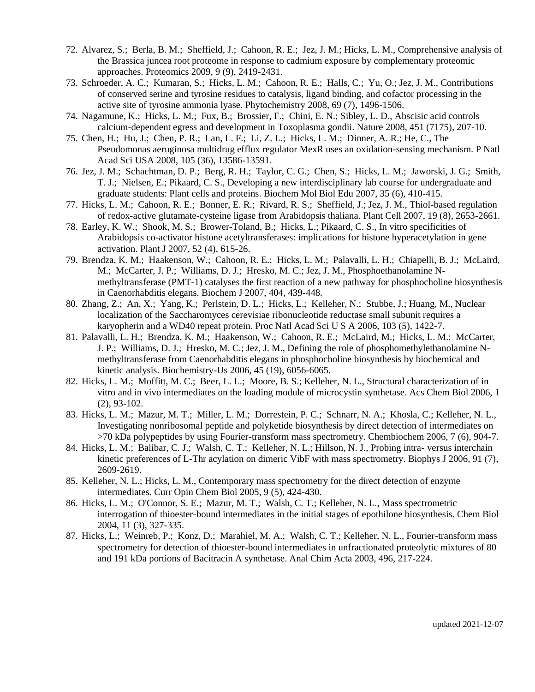- 72. Alvarez, S.; Berla, B. M.; Sheffield, J.; Cahoon, R. E.; Jez, J. M.; Hicks, L. M., Comprehensive analysis of the Brassica juncea root proteome in response to cadmium exposure by complementary proteomic approaches. Proteomics 2009, 9 (9), 2419-2431.
- 73. Schroeder, A. C.; Kumaran, S.; Hicks, L. M.; Cahoon, R. E.; Halls, C.; Yu, O.; Jez, J. M., Contributions of conserved serine and tyrosine residues to catalysis, ligand binding, and cofactor processing in the active site of tyrosine ammonia lyase. Phytochemistry 2008, 69 (7), 1496-1506.
- 74. Nagamune, K.; Hicks, L. M.; Fux, B.; Brossier, F.; Chini, E. N.; Sibley, L. D., Abscisic acid controls calcium-dependent egress and development in Toxoplasma gondii. Nature 2008, 451 (7175), 207-10.
- 75. Chen, H.; Hu, J.; Chen, P. R.; Lan, L. F.; Li, Z. L.; Hicks, L. M.; Dinner, A. R.; He, C., The Pseudomonas aeruginosa multidrug efflux regulator MexR uses an oxidation-sensing mechanism. P Natl Acad Sci USA 2008, 105 (36), 13586-13591.
- 76. Jez, J. M.; Schachtman, D. P.; Berg, R. H.; Taylor, C. G.; Chen, S.; Hicks, L. M.; Jaworski, J. G.; Smith, T. J.; Nielsen, E.; Pikaard, C. S., Developing a new interdisciplinary lab course for undergraduate and graduate students: Plant cells and proteins. Biochem Mol Biol Edu 2007, 35 (6), 410-415.
- 77. Hicks, L. M.; Cahoon, R. E.; Bonner, E. R.; Rivard, R. S.; Sheffield, J.; Jez, J. M., Thiol-based regulation of redox-active glutamate-cysteine ligase from Arabidopsis thaliana. Plant Cell 2007, 19 (8), 2653-2661.
- 78. Earley, K. W.; Shook, M. S.; Brower-Toland, B.; Hicks, L.; Pikaard, C. S., In vitro specificities of Arabidopsis co-activator histone acetyltransferases: implications for histone hyperacetylation in gene activation. Plant J 2007, 52 (4), 615-26.
- 79. Brendza, K. M.; Haakenson, W.; Cahoon, R. E.; Hicks, L. M.; Palavalli, L. H.; Chiapelli, B. J.; McLaird, M.; McCarter, J. P.; Williams, D. J.; Hresko, M. C.; Jez, J. M., Phosphoethanolamine Nmethyltransferase (PMT-1) catalyses the first reaction of a new pathway for phosphocholine biosynthesis in Caenorhabditis elegans. Biochem J 2007, 404, 439-448.
- 80. Zhang, Z.; An, X.; Yang, K.; Perlstein, D. L.; Hicks, L.; Kelleher, N.; Stubbe, J.; Huang, M., Nuclear localization of the Saccharomyces cerevisiae ribonucleotide reductase small subunit requires a karyopherin and a WD40 repeat protein. Proc Natl Acad Sci U S A 2006, 103 (5), 1422-7.
- 81. Palavalli, L. H.; Brendza, K. M.; Haakenson, W.; Cahoon, R. E.; McLaird, M.; Hicks, L. M.; McCarter, J. P.; Williams, D. J.; Hresko, M. C.; Jez, J. M., Defining the role of phosphomethylethanolamine Nmethyltransferase from Caenorhabditis elegans in phosphocholine biosynthesis by biochemical and kinetic analysis. Biochemistry-Us 2006, 45 (19), 6056-6065.
- 82. Hicks, L. M.; Moffitt, M. C.; Beer, L. L.; Moore, B. S.; Kelleher, N. L., Structural characterization of in vitro and in vivo intermediates on the loading module of microcystin synthetase. Acs Chem Biol 2006, 1 (2), 93-102.
- 83. Hicks, L. M.; Mazur, M. T.; Miller, L. M.; Dorrestein, P. C.; Schnarr, N. A.; Khosla, C.; Kelleher, N. L., Investigating nonribosomal peptide and polyketide biosynthesis by direct detection of intermediates on >70 kDa polypeptides by using Fourier-transform mass spectrometry. Chembiochem 2006, 7 (6), 904-7.
- 84. Hicks, L. M.; Balibar, C. J.; Walsh, C. T.; Kelleher, N. L.; Hillson, N. J., Probing intra- versus interchain kinetic preferences of L-Thr acylation on dimeric VibF with mass spectrometry. Biophys J 2006, 91 (7), 2609-2619.
- 85. Kelleher, N. L.; Hicks, L. M., Contemporary mass spectrometry for the direct detection of enzyme intermediates. Curr Opin Chem Biol 2005, 9 (5), 424-430.
- 86. Hicks, L. M.; O'Connor, S. E.; Mazur, M. T.; Walsh, C. T.; Kelleher, N. L., Mass spectrometric interrogation of thioester-bound intermediates in the initial stages of epothilone biosynthesis. Chem Biol 2004, 11 (3), 327-335.
- 87. Hicks, L.; Weinreb, P.; Konz, D.; Marahiel, M. A.; Walsh, C. T.; Kelleher, N. L., Fourier-transform mass spectrometry for detection of thioester-bound intermediates in unfractionated proteolytic mixtures of 80 and 191 kDa portions of Bacitracin A synthetase. Anal Chim Acta 2003, 496, 217-224.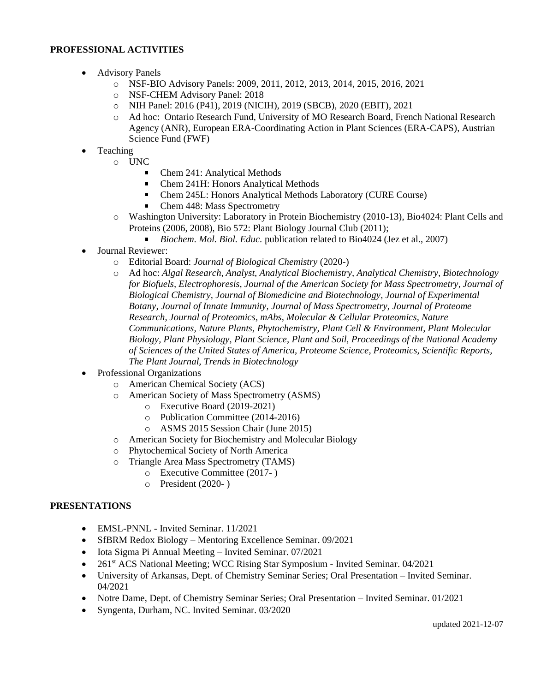# **PROFESSIONAL ACTIVITIES**

- Advisory Panels
	- o NSF-BIO Advisory Panels: 2009, 2011, 2012, 2013, 2014, 2015, 2016, 2021
	- o NSF-CHEM Advisory Panel: 2018
	- o NIH Panel: 2016 (P41), 2019 (NICIH), 2019 (SBCB), 2020 (EBIT), 2021
	- o Ad hoc: Ontario Research Fund, University of MO Research Board, French National Research Agency (ANR), European ERA-Coordinating Action in Plant Sciences (ERA-CAPS), Austrian Science Fund (FWF)
- **Teaching** 
	- o UNC
		- $\blacksquare$ Chem 241: Analytical Methods
		- Chem 241H: Honors Analytical Methods  $\blacksquare$
		- Chem 245L: Honors Analytical Methods Laboratory (CURE Course)  $\blacksquare$
		- $\blacksquare$ Chem 448: Mass Spectrometry
	- o Washington University: Laboratory in Protein Biochemistry (2010-13), Bio4024: Plant Cells and Proteins (2006, 2008), Bio 572: Plant Biology Journal Club (2011);
		- *Biochem. Mol. Biol. Educ.* publication related to Bio4024 (Jez et al., 2007)
- Journal Reviewer:
	- o Editorial Board: *Journal of Biological Chemistry* (2020-)
	- o Ad hoc: *Algal Research, Analyst, Analytical Biochemistry, Analytical Chemistry, Biotechnology for Biofuels, Electrophoresis, Journal of the American Society for Mass Spectrometry, Journal of Biological Chemistry, Journal of Biomedicine and Biotechnology, Journal of Experimental Botany, Journal of Innate Immunity, Journal of Mass Spectrometry, Journal of Proteome Research, Journal of Proteomics, mAbs, Molecular & Cellular Proteomics, Nature Communications, Nature Plants, Phytochemistry, Plant Cell & Environment, Plant Molecular Biology, Plant Physiology, Plant Science, Plant and Soil, Proceedings of the National Academy of Sciences of the United States of America, Proteome Science, Proteomics, Scientific Reports, The Plant Journal, Trends in Biotechnology*
- Professional Organizations
	- o American Chemical Society (ACS)
	- o American Society of Mass Spectrometry (ASMS)
		- o Executive Board (2019-2021)
		- o Publication Committee (2014-2016)
		- o ASMS 2015 Session Chair (June 2015)
	- o American Society for Biochemistry and Molecular Biology
	- o Phytochemical Society of North America
	- o Triangle Area Mass Spectrometry (TAMS)
		- o Executive Committee (2017- )
		- o President (2020- )

# **PRESENTATIONS**

- EMSL-PNNL Invited Seminar. 11/2021
- SfBRM Redox Biology Mentoring Excellence Seminar. 09/2021
- Iota Sigma Pi Annual Meeting Invited Seminar. 07/2021
- 261<sup>st</sup> ACS National Meeting; WCC Rising Star Symposium Invited Seminar. 04/2021
- University of Arkansas, Dept. of Chemistry Seminar Series; Oral Presentation Invited Seminar. 04/2021
- Notre Dame, Dept. of Chemistry Seminar Series; Oral Presentation Invited Seminar. 01/2021
- Syngenta, Durham, NC. Invited Seminar. 03/2020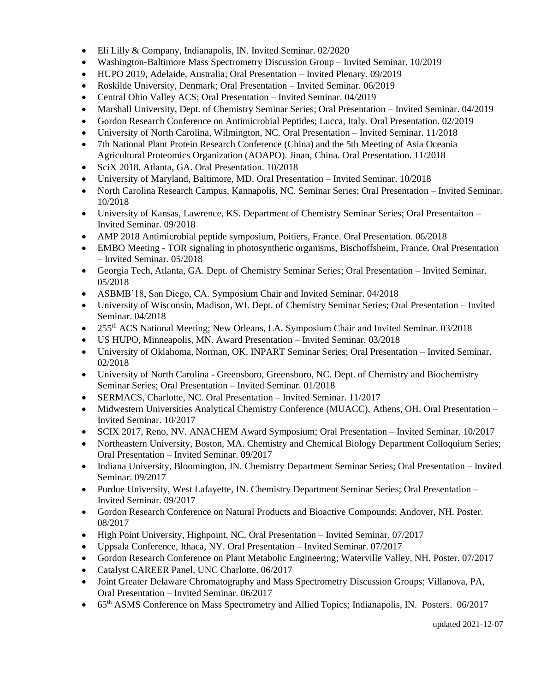- Eli Lilly & Company, Indianapolis, IN. Invited Seminar. 02/2020
- Washington-Baltimore Mass Spectrometry Discussion Group Invited Seminar. 10/2019
- HUPO 2019, Adelaide, Australia; Oral Presentation Invited Plenary. 09/2019
- Roskilde University, Denmark; Oral Presentation Invited Seminar. 06/2019
- Central Ohio Valley ACS; Oral Presentation Invited Seminar. 04/2019
- Marshall University, Dept. of Chemistry Seminar Series; Oral Presentation Invited Seminar. 04/2019
- Gordon Research Conference on Antimicrobial Peptides; Lucca, Italy. Oral Presentation. 02/2019
- University of North Carolina, Wilmington, NC. Oral Presentation Invited Seminar. 11/2018
- 7th National Plant Protein Research Conference (China) and the 5th Meeting of Asia Oceania Agricultural Proteomics Organization (AOAPO). Jinan, China. Oral Presentation. 11/2018
- SciX 2018. Atlanta, GA. Oral Presentation. 10/2018
- University of Maryland, Baltimore, MD. Oral Presentation Invited Seminar. 10/2018
- North Carolina Research Campus, Kannapolis, NC. Seminar Series; Oral Presentation Invited Seminar. 10/2018
- University of Kansas, Lawrence, KS. Department of Chemistry Seminar Series; Oral Presentaiton Invited Seminar. 09/2018
- AMP 2018 Antimicrobial peptide symposium, Poitiers, France. Oral Presentation. 06/2018
- EMBO Meeting TOR signaling in photosynthetic organisms, Bischoffsheim, France. Oral Presentation – Invited Seminar. 05/2018
- Georgia Tech, Atlanta, GA. Dept. of Chemistry Seminar Series; Oral Presentation Invited Seminar. 05/2018
- ASBMB'18, San Diego, CA. Symposium Chair and Invited Seminar. 04/2018
- University of Wisconsin, Madison, WI. Dept. of Chemistry Seminar Series; Oral Presentation Invited Seminar. 04/2018
- 255<sup>th</sup> ACS National Meeting; New Orleans, LA. Symposium Chair and Invited Seminar. 03/2018
- US HUPO, Minneapolis, MN. Award Presentation Invited Seminar. 03/2018
- University of Oklahoma, Norman, OK. INPART Seminar Series; Oral Presentation Invited Seminar. 02/2018
- University of North Carolina Greensboro, Greensboro, NC. Dept. of Chemistry and Biochemistry Seminar Series; Oral Presentation – Invited Seminar. 01/2018
- SERMACS, Charlotte, NC. Oral Presentation Invited Seminar. 11/2017
- Midwestern Universities Analytical Chemistry Conference (MUACC), Athens, OH. Oral Presentation Invited Seminar. 10/2017
- SCIX 2017, Reno, NV. ANACHEM Award Symposium; Oral Presentation Invited Seminar. 10/2017
- Northeastern University, Boston, MA. Chemistry and Chemical Biology Department Colloquium Series; Oral Presentation – Invited Seminar. 09/2017
- Indiana University, Bloomington, IN. Chemistry Department Seminar Series; Oral Presentation Invited Seminar. 09/2017
- Purdue University, West Lafayette, IN. Chemistry Department Seminar Series; Oral Presentation Invited Seminar. 09/2017
- Gordon Research Conference on Natural Products and Bioactive Compounds; Andover, NH. Poster. 08/2017
- High Point University, Highpoint, NC. Oral Presentation Invited Seminar. 07/2017
- Uppsala Conference, Ithaca, NY. Oral Presentation Invited Seminar. 07/2017
- Gordon Research Conference on Plant Metabolic Engineering; Waterville Valley, NH. Poster. 07/2017
- Catalyst CAREER Panel, UNC Charlotte. 06/2017
- Joint Greater Delaware Chromatography and Mass Spectrometry Discussion Groups; Villanova, PA, Oral Presentation – Invited Seminar. 06/2017
- 65<sup>th</sup> ASMS Conference on Mass Spectrometry and Allied Topics; Indianapolis, IN. Posters. 06/2017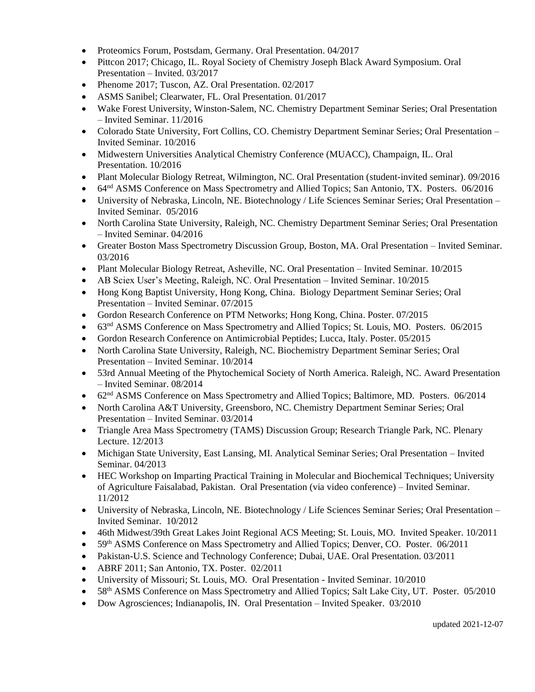- Proteomics Forum, Postsdam, Germany. Oral Presentation. 04/2017
- Pittcon 2017; Chicago, IL. Royal Society of Chemistry Joseph Black Award Symposium. Oral Presentation – Invited. 03/2017
- Phenome 2017; Tuscon, AZ. Oral Presentation. 02/2017
- ASMS Sanibel; Clearwater, FL. Oral Presentation. 01/2017
- Wake Forest University, Winston-Salem, NC. Chemistry Department Seminar Series; Oral Presentation – Invited Seminar. 11/2016
- Colorado State University, Fort Collins, CO. Chemistry Department Seminar Series; Oral Presentation Invited Seminar. 10/2016
- Midwestern Universities Analytical Chemistry Conference (MUACC), Champaign, IL. Oral Presentation. 10/2016
- Plant Molecular Biology Retreat, Wilmington, NC. Oral Presentation (student-invited seminar). 09/2016
- 64nd ASMS Conference on Mass Spectrometry and Allied Topics; San Antonio, TX. Posters. 06/2016
- University of Nebraska, Lincoln, NE. Biotechnology / Life Sciences Seminar Series; Oral Presentation Invited Seminar. 05/2016
- North Carolina State University, Raleigh, NC. Chemistry Department Seminar Series; Oral Presentation – Invited Seminar. 04/2016
- Greater Boston Mass Spectrometry Discussion Group, Boston, MA. Oral Presentation Invited Seminar. 03/2016
- Plant Molecular Biology Retreat, Asheville, NC. Oral Presentation Invited Seminar. 10/2015
- AB Sciex User's Meeting, Raleigh, NC. Oral Presentation Invited Seminar. 10/2015
- Hong Kong Baptist University, Hong Kong, China. Biology Department Seminar Series; Oral Presentation – Invited Seminar. 07/2015
- Gordon Research Conference on PTM Networks; Hong Kong, China. Poster. 07/2015
- 63<sup>nd</sup> ASMS Conference on Mass Spectrometry and Allied Topics; St. Louis, MO. Posters. 06/2015
- Gordon Research Conference on Antimicrobial Peptides; Lucca, Italy. Poster. 05/2015
- North Carolina State University, Raleigh, NC. Biochemistry Department Seminar Series; Oral Presentation – Invited Seminar. 10/2014
- 53rd Annual Meeting of the Phytochemical Society of North America. Raleigh, NC. Award Presentation – Invited Seminar. 08/2014
- 62<sup>nd</sup> ASMS Conference on Mass Spectrometry and Allied Topics; Baltimore, MD. Posters. 06/2014
- North Carolina A&T University, Greensboro, NC. Chemistry Department Seminar Series; Oral Presentation – Invited Seminar. 03/2014
- Triangle Area Mass Spectrometry (TAMS) Discussion Group; Research Triangle Park, NC. Plenary Lecture. 12/2013
- Michigan State University, East Lansing, MI. Analytical Seminar Series; Oral Presentation Invited Seminar. 04/2013
- HEC Workshop on Imparting Practical Training in Molecular and Biochemical Techniques; University of Agriculture Faisalabad, Pakistan. Oral Presentation (via video conference) – Invited Seminar. 11/2012
- University of Nebraska, Lincoln, NE. Biotechnology / Life Sciences Seminar Series; Oral Presentation Invited Seminar. 10/2012
- 46th Midwest/39th Great Lakes Joint Regional ACS Meeting; St. Louis, MO. Invited Speaker. 10/2011
- 59<sup>th</sup> ASMS Conference on Mass Spectrometry and Allied Topics; Denver, CO. Poster. 06/2011
- Pakistan-U.S. Science and Technology Conference; Dubai, UAE. Oral Presentation. 03/2011
- ABRF 2011; San Antonio, TX. Poster. 02/2011
- University of Missouri; St. Louis, MO. Oral Presentation Invited Seminar. 10/2010
- 58<sup>th</sup> ASMS Conference on Mass Spectrometry and Allied Topics; Salt Lake City, UT. Poster. 05/2010
- Dow Agrosciences; Indianapolis, IN. Oral Presentation Invited Speaker. 03/2010